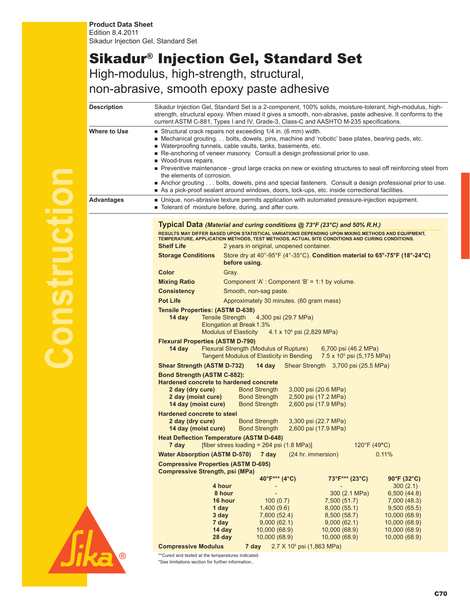## Sikadur® Injection Gel, Standard Set High-modulus, high-strength, structural,

non-abrasive, smooth epoxy paste adhesive

| <b>Description</b> |                                                                                                                                                                                                                                                                                                                                                                                                                                                                                                                                                                                                                                                                                                   | Sikadur Injection Gel, Standard Set is a 2-component, 100% solids, moisture-tolerant, high-modulus, high-<br>strength, structural epoxy. When mixed it gives a smooth, non-abrasive, paste adhesive. It conforms to the<br>current ASTM C-881, Types I and IV, Grade-3, Class-C and AASHTO M-235 specifications.                                                                                         |                                                                                              |                                                                                                           |  |
|--------------------|---------------------------------------------------------------------------------------------------------------------------------------------------------------------------------------------------------------------------------------------------------------------------------------------------------------------------------------------------------------------------------------------------------------------------------------------------------------------------------------------------------------------------------------------------------------------------------------------------------------------------------------------------------------------------------------------------|----------------------------------------------------------------------------------------------------------------------------------------------------------------------------------------------------------------------------------------------------------------------------------------------------------------------------------------------------------------------------------------------------------|----------------------------------------------------------------------------------------------|-----------------------------------------------------------------------------------------------------------|--|
| Where to Use       | Structural crack repairs not exceeding 1/4 in. (6 mm) width.<br>Mechanical grouting. bolts, dowels, pins, machine and 'robotic' base plates, bearing pads, etc.<br>■ Waterproofing tunnels, cable vaults, tanks, basements, etc.<br>Re-anchoring of veneer masonry. Consult a design professional prior to use.<br>■ Wood-truss repairs.<br>Preventive maintenance - grout large cracks on new or existing structures to seal off reinforcing steel from<br>the elements of corrosion.<br>Anchor grouting bolts, dowels, pins and special fasteners. Consult a design professional prior to use.<br>As a pick-proof sealant around windows, doors, lock-ups, etc. inside correctional facilities. |                                                                                                                                                                                                                                                                                                                                                                                                          |                                                                                              |                                                                                                           |  |
| Advantages         | ■ Tolerant of moisture before, during, and after cure.                                                                                                                                                                                                                                                                                                                                                                                                                                                                                                                                                                                                                                            | • Unique, non-abrasive texture permits application with automated pressure-injection equipment.                                                                                                                                                                                                                                                                                                          |                                                                                              |                                                                                                           |  |
|                    | <b>Shelf Life</b><br><b>Storage Conditions</b>                                                                                                                                                                                                                                                                                                                                                                                                                                                                                                                                                                                                                                                    | Typical Data (Material and curing conditions @ 73°F (23°C) and 50% R.H.)<br>RESULTS MAY DIFFER BASED UPON STATISTICAL VARIATIONS DEPENDING UPON MIXING METHODS AND EQUIPMENT,<br>TEMPERATURE, APPLICATION METHODS, TEST METHODS, ACTUAL SITE CONDITIONS AND CURING CONDITIONS.<br>2 years in original, unopened container.<br>Store dry at 40°-95°F (4°-35°C). Condition material to 65°-75°F (18°-24°C) |                                                                                              |                                                                                                           |  |
|                    |                                                                                                                                                                                                                                                                                                                                                                                                                                                                                                                                                                                                                                                                                                   | before using.                                                                                                                                                                                                                                                                                                                                                                                            |                                                                                              |                                                                                                           |  |
|                    | Color                                                                                                                                                                                                                                                                                                                                                                                                                                                                                                                                                                                                                                                                                             | Gray.                                                                                                                                                                                                                                                                                                                                                                                                    |                                                                                              |                                                                                                           |  |
|                    | <b>Mixing Ratio</b>                                                                                                                                                                                                                                                                                                                                                                                                                                                                                                                                                                                                                                                                               | Component 'A': Component 'B' = 1:1 by volume.                                                                                                                                                                                                                                                                                                                                                            |                                                                                              |                                                                                                           |  |
|                    | <b>Consistency</b>                                                                                                                                                                                                                                                                                                                                                                                                                                                                                                                                                                                                                                                                                | Smooth, non-sag paste.                                                                                                                                                                                                                                                                                                                                                                                   |                                                                                              |                                                                                                           |  |
|                    | <b>Pot Life</b><br>Approximately 30 minutes. (60 gram mass)                                                                                                                                                                                                                                                                                                                                                                                                                                                                                                                                                                                                                                       |                                                                                                                                                                                                                                                                                                                                                                                                          |                                                                                              |                                                                                                           |  |
|                    | <b>Tensile Properties: (ASTM D-638)</b><br>14 day<br><b>Tensile Strength</b><br>4,300 psi (29.7 MPa)<br>Elongation at Break 1.3%<br><b>Modulus of Elasticity</b><br>$4.1 \times 10^5$ psi (2,829 MPa)<br><b>Flexural Properties (ASTM D-790)</b><br>14 day<br>Flexural Strength (Modulus of Rupture)<br>6,700 psi (46.2 MPa)<br>Tangent Modulus of Elasticity in Bending<br>7.5 x 10 <sup>5</sup> psi (5,175 MPa)                                                                                                                                                                                                                                                                                 |                                                                                                                                                                                                                                                                                                                                                                                                          |                                                                                              |                                                                                                           |  |
|                    | <b>Shear Strength (ASTM D-732)</b><br><b>14 day</b> Shear Strength 3,700 psi (25.5 MPa)                                                                                                                                                                                                                                                                                                                                                                                                                                                                                                                                                                                                           |                                                                                                                                                                                                                                                                                                                                                                                                          |                                                                                              |                                                                                                           |  |
|                    | <b>Bond Strength (ASTM C-882):</b><br><b>Hardened concrete to hardened concrete</b><br>2 day (dry cure)<br>2 day (moist cure)<br>14 day (moist cure)                                                                                                                                                                                                                                                                                                                                                                                                                                                                                                                                              | <b>Bond Strength</b><br><b>Bond Strength</b><br><b>Bond Strength</b>                                                                                                                                                                                                                                                                                                                                     | 3,000 psi (20.6 MPa)<br>2,500 psi (17.2 MPa)<br>2,600 psi (17.9 MPa)                         |                                                                                                           |  |
|                    | <b>Hardened concrete to steel</b><br>2 day (dry cure)<br>14 day (moist cure)                                                                                                                                                                                                                                                                                                                                                                                                                                                                                                                                                                                                                      | <b>Bond Strength</b><br><b>Bond Strength</b>                                                                                                                                                                                                                                                                                                                                                             | 3,300 psi (22.7 MPa)<br>2,600 psi (17.9 MPa)                                                 |                                                                                                           |  |
|                    | <b>Heat Deflection Temperature (ASTM D-648)</b><br>7 day                                                                                                                                                                                                                                                                                                                                                                                                                                                                                                                                                                                                                                          | [fiber stress loading = 264 psi (1.8 MPa)]                                                                                                                                                                                                                                                                                                                                                               | $120^{\circ}$ F (49 $^{\circ}$ C)                                                            |                                                                                                           |  |
|                    | <b>Water Absorption (ASTM D-570)</b>                                                                                                                                                                                                                                                                                                                                                                                                                                                                                                                                                                                                                                                              | 7 day                                                                                                                                                                                                                                                                                                                                                                                                    | (24 hr. immersion)                                                                           | 0.11%                                                                                                     |  |
|                    | <b>Compressive Properties (ASTM D-695)</b><br><b>Compressive Strength, psi (MPa)</b>                                                                                                                                                                                                                                                                                                                                                                                                                                                                                                                                                                                                              |                                                                                                                                                                                                                                                                                                                                                                                                          |                                                                                              |                                                                                                           |  |
|                    |                                                                                                                                                                                                                                                                                                                                                                                                                                                                                                                                                                                                                                                                                                   | 40°F*** (4°C)                                                                                                                                                                                                                                                                                                                                                                                            | 73°F*** (23°C)                                                                               | $90^{\circ}$ F (32 $^{\circ}$ C)                                                                          |  |
|                    | 4 hour<br>8 hour<br>16 hour<br>1 day<br>3 day<br>7 day<br>14 day                                                                                                                                                                                                                                                                                                                                                                                                                                                                                                                                                                                                                                  | 100(0.7)<br>1,400(9.6)<br>7,600 (52.4)<br>9,000(62.1)<br>10,000 (68.9)                                                                                                                                                                                                                                                                                                                                   | 300 (2.1 MPa)<br>7,500 (51.7)<br>8,000(55.1)<br>8,500 (58.7)<br>9,000(62.1)<br>10,000 (68.9) | 300 (2.1)<br>6,500(44.8)<br>7,000 (48.3)<br>9,500(65.5)<br>10,000 (68.9)<br>10,000 (68.9)<br>10,000(68.9) |  |
|                    | 28 day                                                                                                                                                                                                                                                                                                                                                                                                                                                                                                                                                                                                                                                                                            | 10,000 (68.9)                                                                                                                                                                                                                                                                                                                                                                                            | 10,000 (68.9)                                                                                | 10,000 (68.9)                                                                                             |  |
| $^\circledR$       | <b>Compressive Modulus</b><br>**Cured and tested at the temperatures indicated.                                                                                                                                                                                                                                                                                                                                                                                                                                                                                                                                                                                                                   | $2.7 \times 10^5$ psi (1,863 MPa)<br>7 day                                                                                                                                                                                                                                                                                                                                                               |                                                                                              |                                                                                                           |  |
|                    | *See limitations section for further information                                                                                                                                                                                                                                                                                                                                                                                                                                                                                                                                                                                                                                                  |                                                                                                                                                                                                                                                                                                                                                                                                          |                                                                                              |                                                                                                           |  |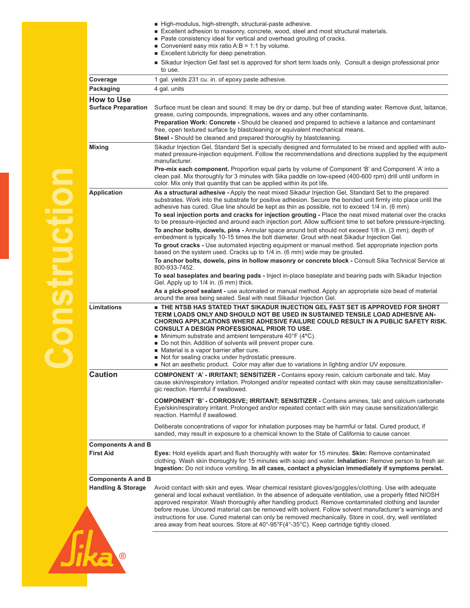|                                                            | High-modulus, high-strength, structural-paste adhesive.<br>Excellent adhesion to masonry, concrete, wood, steel and most structural materials.<br>■ Paste consistency ideal for vertical and overhead grouting of cracks.<br>Convenient easy mix ratio $A:B = 1:1$ by volume.<br>Excellent lubricity for deep penetration.                                                                                                                                                                                                                                                                                                                                                                                                                                                                                                                                                                                                                                                                                                                                                                                                                                                                                                                                                                                                                                                                                          |  |
|------------------------------------------------------------|---------------------------------------------------------------------------------------------------------------------------------------------------------------------------------------------------------------------------------------------------------------------------------------------------------------------------------------------------------------------------------------------------------------------------------------------------------------------------------------------------------------------------------------------------------------------------------------------------------------------------------------------------------------------------------------------------------------------------------------------------------------------------------------------------------------------------------------------------------------------------------------------------------------------------------------------------------------------------------------------------------------------------------------------------------------------------------------------------------------------------------------------------------------------------------------------------------------------------------------------------------------------------------------------------------------------------------------------------------------------------------------------------------------------|--|
|                                                            | Sikadur Injection Gel fast set is approved for short term loads only. Consult a design professional prior<br>to use.                                                                                                                                                                                                                                                                                                                                                                                                                                                                                                                                                                                                                                                                                                                                                                                                                                                                                                                                                                                                                                                                                                                                                                                                                                                                                                |  |
| Coverage                                                   | 1 gal. yields 231 cu. in. of epoxy paste adhesive.                                                                                                                                                                                                                                                                                                                                                                                                                                                                                                                                                                                                                                                                                                                                                                                                                                                                                                                                                                                                                                                                                                                                                                                                                                                                                                                                                                  |  |
| Packaging                                                  | 4 gal. units                                                                                                                                                                                                                                                                                                                                                                                                                                                                                                                                                                                                                                                                                                                                                                                                                                                                                                                                                                                                                                                                                                                                                                                                                                                                                                                                                                                                        |  |
| <b>How to Use</b><br><b>Surface Preparation</b>            | Surface must be clean and sound. It may be dry or damp, but free of standing water. Remove dust, laitance,<br>grease, curing compounds, impregnations, waxes and any other contaminants.<br>Preparation Work: Concrete - Should be cleaned and prepared to achieve a laitance and contaminant<br>free, open textured surface by blastcleaning or equivalent mechanical means.<br>Steel - Should be cleaned and prepared thoroughly by blastcleaning.                                                                                                                                                                                                                                                                                                                                                                                                                                                                                                                                                                                                                                                                                                                                                                                                                                                                                                                                                                |  |
| <b>Mixing</b>                                              | Sikadur Injection Gel, Standard Set is specially designed and formulated to be mixed and applied with auto-<br>mated pressure-injection equipment. Follow the recommendations and directions supplied by the equipment<br>manufacturer.<br>Pre-mix each component. Proportion equal parts by volume of Component 'B' and Component 'A' into a<br>clean pail. Mix thoroughly for 3 minutes with Sika paddle on low-speed (400-600 rpm) drill until uniform in<br>color. Mix only that quantity that can be applied within its pot life.                                                                                                                                                                                                                                                                                                                                                                                                                                                                                                                                                                                                                                                                                                                                                                                                                                                                              |  |
| <b>Application</b>                                         | As a structural adhesive - Apply the neat mixed Sikadur Injection Gel, Standard Set to the prepared<br>substrates. Work into the substrate for positive adhesion. Secure the bonded unit firmly into place until the<br>adhesive has cured. Glue line should be kept as thin as possible, not to exceed 1/4 in. (6 mm)<br>To seal injection ports and cracks for injection grouting - Place the neat mixed material over the cracks<br>to be pressure-injected and around each injection port. Allow sufficient time to set before pressure-injecting.<br>To anchor bolts, dowels, pins - Annular space around bolt should not exceed 1/8 in. (3 mm); depth of<br>embedment is typically 10-15 times the bolt diameter. Grout with neat Sikadur Injection Gel.<br>To grout cracks - Use automated injecting equipment or manual method. Set appropriate injection ports<br>based on the system used. Cracks up to 1/4 in. (6 mm) wide may be grouted.<br>To anchor bolts, dowels, pins in hollow masonry or concrete block - Consult Sika Technical Service at<br>800-933-7452.<br>To seal baseplates and bearing pads - Inject in-place baseplate and bearing pads with Sikadur Injection<br>Gel. Apply up to 1/4 in. (6 mm) thick.<br>As a pick-proof sealant - use automated or manual method. Apply an appropriate size bead of material<br>around the area being sealed. Seal with neat Sikadur Injection Gel. |  |
| <b>Limitations</b>                                         | THE NTSB HAS STATED THAT SIKADUR INJECTION GEL FAST SET IS APPROVED FOR SHORT<br>TERM LOADS ONLY AND SHOULD NOT BE USED IN SUSTAINED TENSILE LOAD ADHESIVE AN-<br>CHORING APPLICATIONS WHERE ADHESIVE FAILURE COULD RESULT IN A PUBLIC SAFETY RISK.<br><b>CONSULT A DESIGN PROFESSIONAL PRIOR TO USE.</b><br><b>Minimum substrate and ambient temperature 40°F (4°C).</b><br>Do not thin. Addition of solvents will prevent proper cure.<br>Material is a vapor barrier after cure.<br>Not for sealing cracks under hydrostatic pressure.<br>Not an aesthetic product. Color may alter due to variations in lighting and/or UV exposure.                                                                                                                                                                                                                                                                                                                                                                                                                                                                                                                                                                                                                                                                                                                                                                            |  |
| <b>Caution</b>                                             | <b>COMPONENT 'A' - IRRITANT; SENSITIZER -</b> Contains epoxy resin, calcium carbonate and talc. May<br>cause skin/respiratory irritation. Prolonged and/or repeated contact with skin may cause sensitization/aller-<br>gic reaction. Harmful if swallowed.<br><b>COMPONENT 'B' - CORROSIVE; IRRITANT; SENSITIZER - Contains amines, talc and calcium carbonate</b><br>Eye/skin/respiratory irritant. Prolonged and/or repeated contact with skin may cause sensitization/allergic<br>reaction. Harmful if swallowed.<br>Deliberate concentrations of vapor for inhalation purposes may be harmful or fatal. Cured product, if<br>sanded, may result in exposure to a chemical known to the State of California to cause cancer.                                                                                                                                                                                                                                                                                                                                                                                                                                                                                                                                                                                                                                                                                    |  |
| <b>Components A and B</b><br><b>First Aid</b>              | Eyes: Hold eyelids apart and flush thoroughly with water for 15 minutes. Skin: Remove contaminated<br>clothing. Wash skin thoroughly for 15 minutes with soap and water. Inhalation: Remove person to fresh air.<br>Ingestion: Do not induce vomiting. In all cases, contact a physician immediately if symptoms persist.                                                                                                                                                                                                                                                                                                                                                                                                                                                                                                                                                                                                                                                                                                                                                                                                                                                                                                                                                                                                                                                                                           |  |
| <b>Components A and B</b><br><b>Handling &amp; Storage</b> | Avoid contact with skin and eyes. Wear chemical resistant gloves/goggles/clothing. Use with adequate<br>general and local exhaust ventilation. In the absence of adequate ventilation, use a properly fitted NIOSH<br>approved respirator. Wash thoroughly after handling product. Remove contaminated clothing and launder<br>before reuse. Uncured material can be removed with solvent. Follow solvent manufacturer's warnings and<br>instructions for use. Cured material can only be removed mechanically. Store in cool, dry, well ventilated<br>area away from heat sources. Store at $40^{\circ}$ -95 $^{\circ}$ F(4 $^{\circ}$ -35 $^{\circ}$ C). Keep cartridge tightly closed.                                                                                                                                                                                                                                                                                                                                                                                                                                                                                                                                                                                                                                                                                                                           |  |
|                                                            |                                                                                                                                                                                                                                                                                                                                                                                                                                                                                                                                                                                                                                                                                                                                                                                                                                                                                                                                                                                                                                                                                                                                                                                                                                                                                                                                                                                                                     |  |